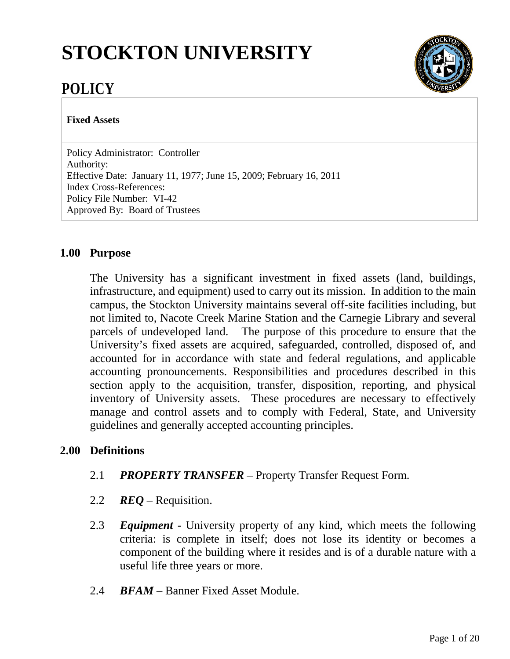# **STOCKTON UNIVERSITY**



# **POLICY**

**Fixed Assets**

Policy Administrator: Controller Authority: Effective Date: January 11, 1977; June 15, 2009; February 16, 2011 Index Cross-References: Policy File Number: VI-42 Approved By: Board of Trustees

#### **1.00 Purpose**

The University has a significant investment in fixed assets (land, buildings, infrastructure, and equipment) used to carry out its mission. In addition to the main campus, the Stockton University maintains several off-site facilities including, but not limited to, Nacote Creek Marine Station and the Carnegie Library and several parcels of undeveloped land. The purpose of this procedure to ensure that the University's fixed assets are acquired, safeguarded, controlled, disposed of, and accounted for in accordance with state and federal regulations, and applicable accounting pronouncements. Responsibilities and procedures described in this section apply to the acquisition, transfer, disposition, reporting, and physical inventory of University assets. These procedures are necessary to effectively manage and control assets and to comply with Federal, State, and University guidelines and generally accepted accounting principles.

#### **2.00 Definitions**

- 2.1 *PROPERTY TRANSFER* Property Transfer Request Form.
- 2.2 *REQ*  Requisition.
- 2.3 *Equipment* University property of any kind, which meets the following criteria: is complete in itself; does not lose its identity or becomes a component of the building where it resides and is of a durable nature with a useful life three years or more.
- 2.4 *BFAM* Banner Fixed Asset Module.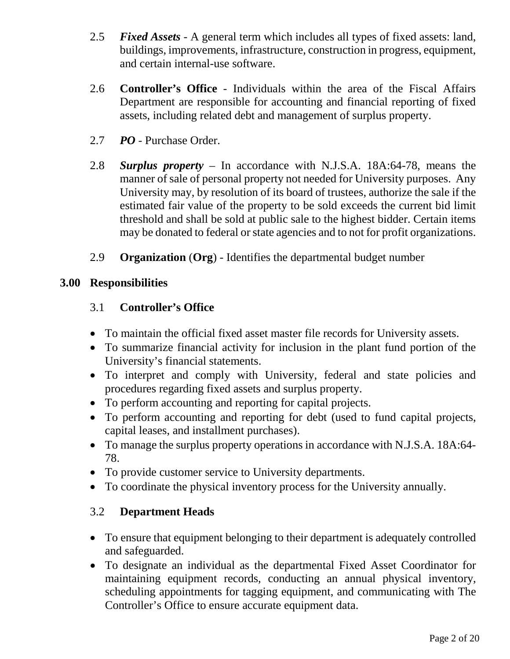- 2.5 *Fixed Assets* A general term which includes all types of fixed assets: land, buildings, improvements, infrastructure, construction in progress, equipment, and certain internal-use software.
- 2.6 **Controller's Office** Individuals within the area of the Fiscal Affairs Department are responsible for accounting and financial reporting of fixed assets, including related debt and management of surplus property.
- 2.7 *PO* Purchase Order.
- 2.8 *Surplus property* In accordance with N.J.S.A. 18A:64-78, means the manner of sale of personal property not needed for University purposes. Any University may, by resolution of its board of trustees, authorize the sale if the estimated fair value of the property to be sold exceeds the current bid limit threshold and shall be sold at public sale to the highest bidder. Certain items may be donated to federal or state agencies and to not for profit organizations.
- 2.9 **Organization** (**Org**) Identifies the departmental budget number

# **3.00 Responsibilities**

# 3.1 **Controller's Office**

- To maintain the official fixed asset master file records for University assets.
- To summarize financial activity for inclusion in the plant fund portion of the University's financial statements.
- To interpret and comply with University, federal and state policies and procedures regarding fixed assets and surplus property.
- To perform accounting and reporting for capital projects.
- To perform accounting and reporting for debt (used to fund capital projects, capital leases, and installment purchases).
- To manage the surplus property operations in accordance with N.J.S.A. 18A:64-78.
- To provide customer service to University departments.
- To coordinate the physical inventory process for the University annually.

# 3.2 **Department Heads**

- To ensure that equipment belonging to their department is adequately controlled and safeguarded.
- To designate an individual as the departmental Fixed Asset Coordinator for maintaining equipment records, conducting an annual physical inventory, scheduling appointments for tagging equipment, and communicating with The Controller's Office to ensure accurate equipment data.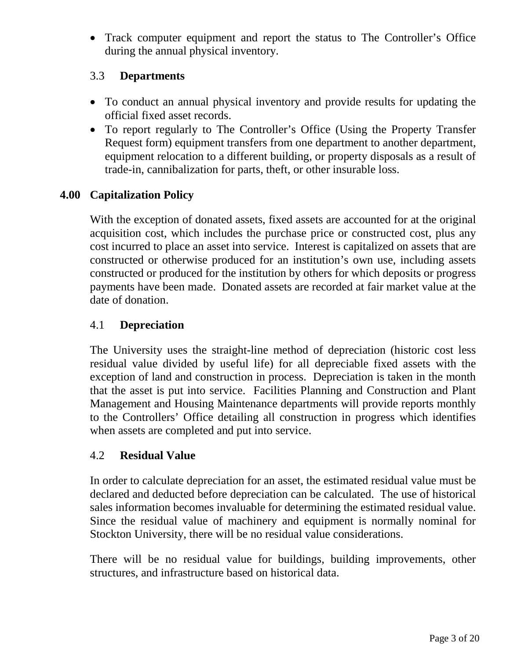• Track computer equipment and report the status to The Controller's Office during the annual physical inventory.

# 3.3 **Departments**

- To conduct an annual physical inventory and provide results for updating the official fixed asset records.
- To report regularly to The Controller's Office (Using the Property Transfer Request form) equipment transfers from one department to another department, equipment relocation to a different building, or property disposals as a result of trade-in, cannibalization for parts, theft, or other insurable loss.

# **4.00 Capitalization Policy**

With the exception of donated assets, fixed assets are accounted for at the original acquisition cost, which includes the purchase price or constructed cost, plus any cost incurred to place an asset into service. Interest is capitalized on assets that are constructed or otherwise produced for an institution's own use, including assets constructed or produced for the institution by others for which deposits or progress payments have been made. Donated assets are recorded at fair market value at the date of donation.

#### 4.1 **Depreciation**

The University uses the straight-line method of depreciation (historic cost less residual value divided by useful life) for all depreciable fixed assets with the exception of land and construction in process. Depreciation is taken in the month that the asset is put into service.Facilities Planning and Construction and Plant Management and Housing Maintenance departments will provide reports monthly to the Controllers' Office detailing all construction in progress which identifies when assets are completed and put into service.

#### 4.2 **Residual Value**

In order to calculate depreciation for an asset, the estimated residual value must be declared and deducted before depreciation can be calculated. The use of historical sales information becomes invaluable for determining the estimated residual value. Since the residual value of machinery and equipment is normally nominal for Stockton University, there will be no residual value considerations.

There will be no residual value for buildings, building improvements, other structures, and infrastructure based on historical data.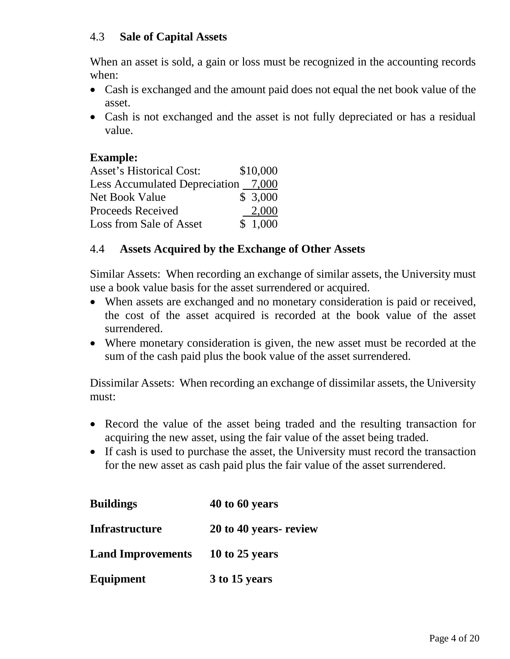#### 4.3 **Sale of Capital Assets**

When an asset is sold, a gain or loss must be recognized in the accounting records when:

- Cash is exchanged and the amount paid does not equal the net book value of the asset.
- Cash is not exchanged and the asset is not fully depreciated or has a residual value.

### **Example:**

| <b>Asset's Historical Cost:</b>     | \$10,000 |
|-------------------------------------|----------|
| Less Accumulated Depreciation 7,000 |          |
| Net Book Value                      | \$3,000  |
| Proceeds Received                   | 2,000    |
| Loss from Sale of Asset             | \$1,000  |

#### 4.4 **Assets Acquired by the Exchange of Other Assets**

Similar Assets: When recording an exchange of similar assets, the University must use a book value basis for the asset surrendered or acquired.

- When assets are exchanged and no monetary consideration is paid or received, the cost of the asset acquired is recorded at the book value of the asset surrendered.
- Where monetary consideration is given, the new asset must be recorded at the sum of the cash paid plus the book value of the asset surrendered.

Dissimilar Assets: When recording an exchange of dissimilar assets, the University must:

- Record the value of the asset being traded and the resulting transaction for acquiring the new asset, using the fair value of the asset being traded.
- If cash is used to purchase the asset, the University must record the transaction for the new asset as cash paid plus the fair value of the asset surrendered.

| <b>Buildings</b>         | 40 to 60 years         |
|--------------------------|------------------------|
| <b>Infrastructure</b>    | 20 to 40 years- review |
| <b>Land Improvements</b> | 10 to 25 years         |
| Equipment                | 3 to 15 years          |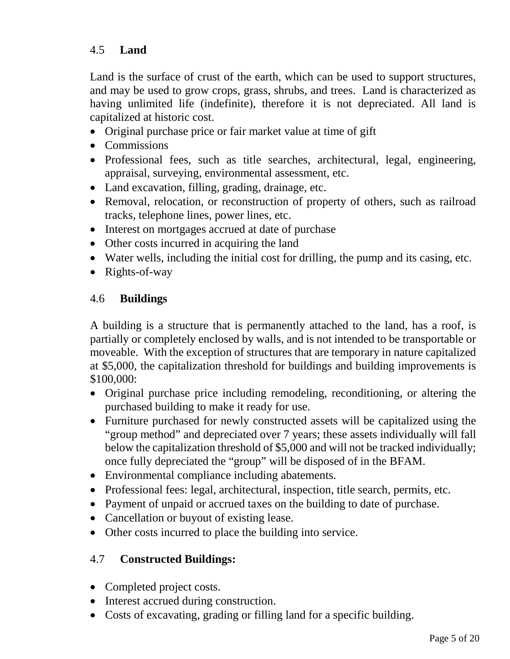# 4.5 **Land**

Land is the surface of crust of the earth, which can be used to support structures, and may be used to grow crops, grass, shrubs, and trees. Land is characterized as having unlimited life (indefinite), therefore it is not depreciated. All land is capitalized at historic cost.

- Original purchase price or fair market value at time of gift
- Commissions
- Professional fees, such as title searches, architectural, legal, engineering, appraisal, surveying, environmental assessment, etc.
- Land excavation, filling, grading, drainage, etc.
- Removal, relocation, or reconstruction of property of others, such as railroad tracks, telephone lines, power lines, etc.
- Interest on mortgages accrued at date of purchase
- Other costs incurred in acquiring the land
- Water wells, including the initial cost for drilling, the pump and its casing, etc.
- Rights-of-way

# 4.6 **Buildings**

A building is a structure that is permanently attached to the land, has a roof, is partially or completely enclosed by walls, and is not intended to be transportable or moveable. With the exception of structures that are temporary in nature capitalized at \$5,000, the capitalization threshold for buildings and building improvements is \$100,000:

- Original purchase price including remodeling, reconditioning, or altering the purchased building to make it ready for use.
- Furniture purchased for newly constructed assets will be capitalized using the "group method" and depreciated over 7 years; these assets individually will fall below the capitalization threshold of \$5,000 and will not be tracked individually; once fully depreciated the "group" will be disposed of in the BFAM.
- Environmental compliance including abatements.
- Professional fees: legal, architectural, inspection, title search, permits, etc.
- Payment of unpaid or accrued taxes on the building to date of purchase.
- Cancellation or buyout of existing lease.
- Other costs incurred to place the building into service.

# 4.7 **Constructed Buildings:**

- Completed project costs.
- Interest accrued during construction.
- Costs of excavating, grading or filling land for a specific building.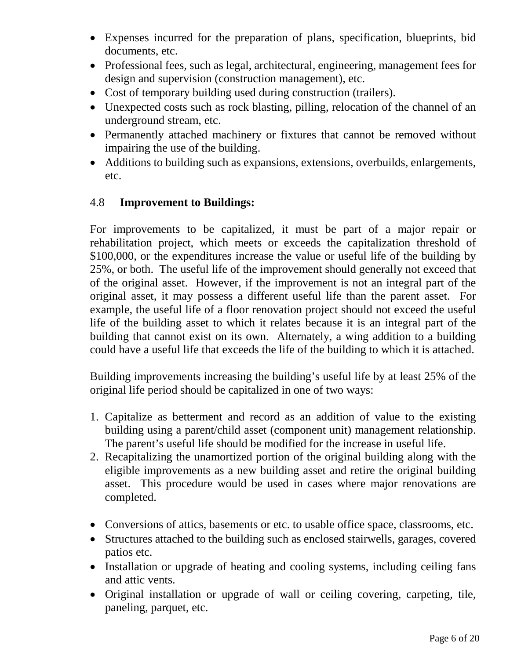- Expenses incurred for the preparation of plans, specification, blueprints, bid documents, etc.
- Professional fees, such as legal, architectural, engineering, management fees for design and supervision (construction management), etc.
- Cost of temporary building used during construction (trailers).
- Unexpected costs such as rock blasting, pilling, relocation of the channel of an underground stream, etc.
- Permanently attached machinery or fixtures that cannot be removed without impairing the use of the building.
- Additions to building such as expansions, extensions, overbuilds, enlargements, etc.

# 4.8 **Improvement to Buildings:**

For improvements to be capitalized, it must be part of a major repair or rehabilitation project, which meets or exceeds the capitalization threshold of \$100,000, or the expenditures increase the value or useful life of the building by 25%, or both. The useful life of the improvement should generally not exceed that of the original asset. However, if the improvement is not an integral part of the original asset, it may possess a different useful life than the parent asset. For example, the useful life of a floor renovation project should not exceed the useful life of the building asset to which it relates because it is an integral part of the building that cannot exist on its own. Alternately, a wing addition to a building could have a useful life that exceeds the life of the building to which it is attached.

Building improvements increasing the building's useful life by at least 25% of the original life period should be capitalized in one of two ways:

- 1. Capitalize as betterment and record as an addition of value to the existing building using a parent/child asset (component unit) management relationship. The parent's useful life should be modified for the increase in useful life.
- 2. Recapitalizing the unamortized portion of the original building along with the eligible improvements as a new building asset and retire the original building asset. This procedure would be used in cases where major renovations are completed.
- Conversions of attics, basements or etc. to usable office space, classrooms, etc.
- Structures attached to the building such as enclosed stairwells, garages, covered patios etc.
- Installation or upgrade of heating and cooling systems, including ceiling fans and attic vents.
- Original installation or upgrade of wall or ceiling covering, carpeting, tile, paneling, parquet, etc.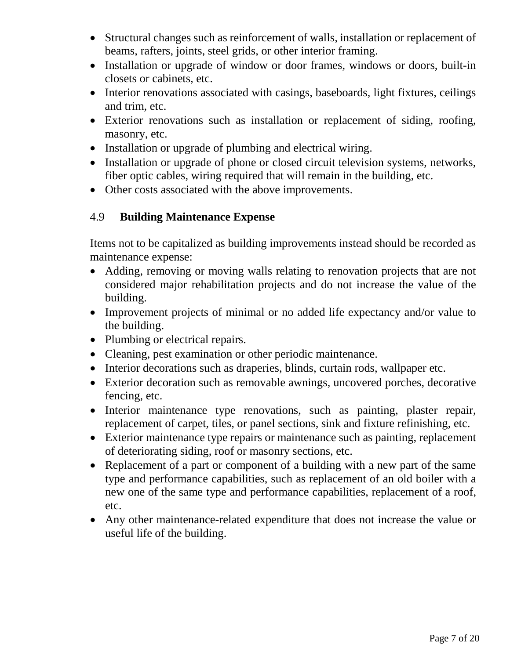- Structural changes such as reinforcement of walls, installation or replacement of beams, rafters, joints, steel grids, or other interior framing.
- Installation or upgrade of window or door frames, windows or doors, built-in closets or cabinets, etc.
- Interior renovations associated with casings, baseboards, light fixtures, ceilings and trim, etc.
- Exterior renovations such as installation or replacement of siding, roofing, masonry, etc.
- Installation or upgrade of plumbing and electrical wiring.
- Installation or upgrade of phone or closed circuit television systems, networks, fiber optic cables, wiring required that will remain in the building, etc.
- Other costs associated with the above improvements.

# 4.9 **Building Maintenance Expense**

Items not to be capitalized as building improvements instead should be recorded as maintenance expense:

- Adding, removing or moving walls relating to renovation projects that are not considered major rehabilitation projects and do not increase the value of the building.
- Improvement projects of minimal or no added life expectancy and/or value to the building.
- Plumbing or electrical repairs.
- Cleaning, pest examination or other periodic maintenance.
- Interior decorations such as draperies, blinds, curtain rods, wallpaper etc.
- Exterior decoration such as removable awnings, uncovered porches, decorative fencing, etc.
- Interior maintenance type renovations, such as painting, plaster repair, replacement of carpet, tiles, or panel sections, sink and fixture refinishing, etc.
- Exterior maintenance type repairs or maintenance such as painting, replacement of deteriorating siding, roof or masonry sections, etc.
- Replacement of a part or component of a building with a new part of the same type and performance capabilities, such as replacement of an old boiler with a new one of the same type and performance capabilities, replacement of a roof, etc.
- Any other maintenance-related expenditure that does not increase the value or useful life of the building.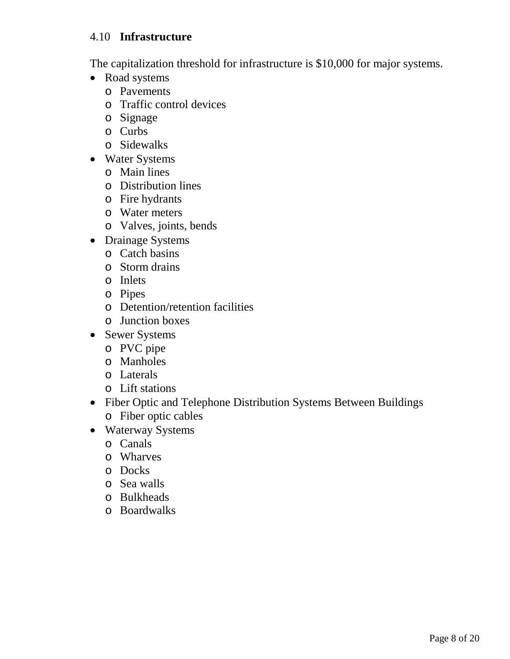#### 4.10 **Infrastructure**

The capitalization threshold for infrastructure is \$10,000 for major systems.

- Road systems
	- o Pavements
	- o Traffic control devices
	- o Signage
	- o Curbs
	- o Sidewalks
- Water Systems
	- o Main lines
	- o Distribution lines
	- o Fire hydrants
	- o Water meters
	- o Valves, joints, bends
- Drainage Systems
	- o Catch basins
	- o Storm drains
	- o Inlets
	- o Pipes
	- o Detention/retention facilities
	- o Junction boxes
- Sewer Systems
	- o PVC pipe
	- o Manholes
	- o Laterals
	- o Lift stations
- Fiber Optic and Telephone Distribution Systems Between Buildings
	- o Fiber optic cables
- Waterway Systems
	- o Canals
	- o Wharves
	- o Docks
	- o Sea walls
	- o Bulkheads
	- o Boardwalks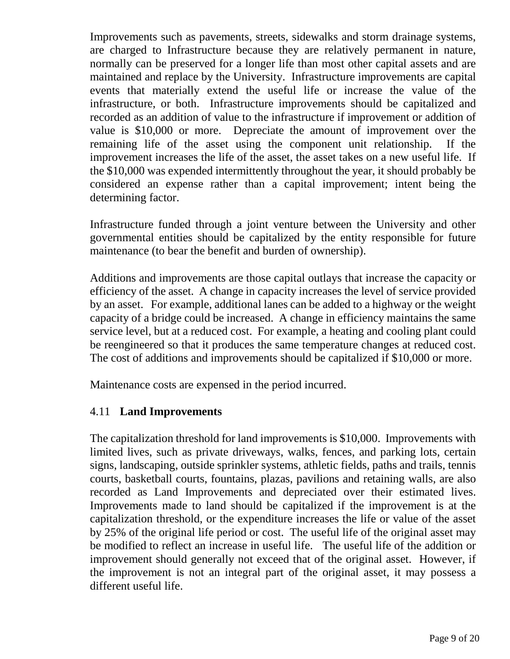Improvements such as pavements, streets, sidewalks and storm drainage systems, are charged to Infrastructure because they are relatively permanent in nature, normally can be preserved for a longer life than most other capital assets and are maintained and replace by the University. Infrastructure improvements are capital events that materially extend the useful life or increase the value of the infrastructure, or both. Infrastructure improvements should be capitalized and recorded as an addition of value to the infrastructure if improvement or addition of value is \$10,000 or more. Depreciate the amount of improvement over the remaining life of the asset using the component unit relationship. If the improvement increases the life of the asset, the asset takes on a new useful life. If the \$10,000 was expended intermittently throughout the year, it should probably be considered an expense rather than a capital improvement; intent being the determining factor.

Infrastructure funded through a joint venture between the University and other governmental entities should be capitalized by the entity responsible for future maintenance (to bear the benefit and burden of ownership).

Additions and improvements are those capital outlays that increase the capacity or efficiency of the asset. A change in capacity increases the level of service provided by an asset. For example, additional lanes can be added to a highway or the weight capacity of a bridge could be increased. A change in efficiency maintains the same service level, but at a reduced cost. For example, a heating and cooling plant could be reengineered so that it produces the same temperature changes at reduced cost. The cost of additions and improvements should be capitalized if \$10,000 or more.

Maintenance costs are expensed in the period incurred.

#### 4.11 **Land Improvements**

The capitalization threshold for land improvements is \$10,000. Improvements with limited lives, such as private driveways, walks, fences, and parking lots, certain signs, landscaping, outside sprinkler systems, athletic fields, paths and trails, tennis courts, basketball courts, fountains, plazas, pavilions and retaining walls, are also recorded as Land Improvements and depreciated over their estimated lives. Improvements made to land should be capitalized if the improvement is at the capitalization threshold, or the expenditure increases the life or value of the asset by 25% of the original life period or cost. The useful life of the original asset may be modified to reflect an increase in useful life. The useful life of the addition or improvement should generally not exceed that of the original asset. However, if the improvement is not an integral part of the original asset, it may possess a different useful life.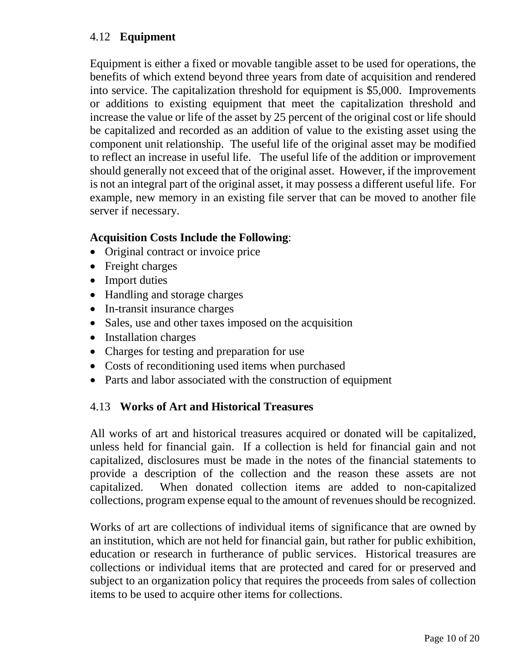# 4.12 **Equipment**

Equipment is either a fixed or movable tangible asset to be used for operations, the benefits of which extend beyond three years from date of acquisition and rendered into service. The capitalization threshold for equipment is \$5,000. Improvements or additions to existing equipment that meet the capitalization threshold and increase the value or life of the asset by 25 percent of the original cost or life should be capitalized and recorded as an addition of value to the existing asset using the component unit relationship. The useful life of the original asset may be modified to reflect an increase in useful life. The useful life of the addition or improvement should generally not exceed that of the original asset. However, if the improvement is not an integral part of the original asset, it may possess a different useful life. For example, new memory in an existing file server that can be moved to another file server if necessary.

#### **Acquisition Costs Include the Following**:

- Original contract or invoice price
- Freight charges
- Import duties
- Handling and storage charges
- In-transit insurance charges
- Sales, use and other taxes imposed on the acquisition
- Installation charges
- Charges for testing and preparation for use
- Costs of reconditioning used items when purchased
- Parts and labor associated with the construction of equipment

# 4.13 **Works of Art and Historical Treasures**

All works of art and historical treasures acquired or donated will be capitalized, unless held for financial gain. If a collection is held for financial gain and not capitalized, disclosures must be made in the notes of the financial statements to provide a description of the collection and the reason these assets are not capitalized. When donated collection items are added to non-capitalized collections, program expense equal to the amount of revenues should be recognized.

Works of art are collections of individual items of significance that are owned by an institution, which are not held for financial gain, but rather for public exhibition, education or research in furtherance of public services. Historical treasures are collections or individual items that are protected and cared for or preserved and subject to an organization policy that requires the proceeds from sales of collection items to be used to acquire other items for collections.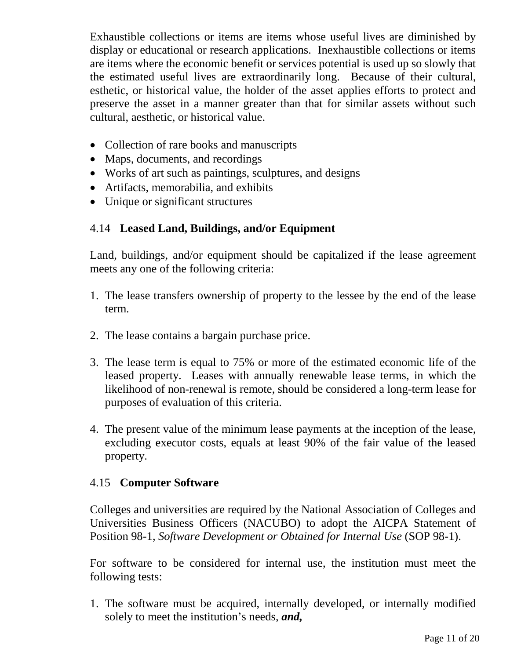Exhaustible collections or items are items whose useful lives are diminished by display or educational or research applications. Inexhaustible collections or items are items where the economic benefit or services potential is used up so slowly that the estimated useful lives are extraordinarily long. Because of their cultural, esthetic, or historical value, the holder of the asset applies efforts to protect and preserve the asset in a manner greater than that for similar assets without such cultural, aesthetic, or historical value.

- Collection of rare books and manuscripts
- Maps, documents, and recordings
- Works of art such as paintings, sculptures, and designs
- Artifacts, memorabilia, and exhibits
- Unique or significant structures

# 4.14 **Leased Land, Buildings, and/or Equipment**

Land, buildings, and/or equipment should be capitalized if the lease agreement meets any one of the following criteria:

- 1. The lease transfers ownership of property to the lessee by the end of the lease term.
- 2. The lease contains a bargain purchase price.
- 3. The lease term is equal to 75% or more of the estimated economic life of the leased property. Leases with annually renewable lease terms, in which the likelihood of non-renewal is remote, should be considered a long-term lease for purposes of evaluation of this criteria.
- 4. The present value of the minimum lease payments at the inception of the lease, excluding executor costs, equals at least 90% of the fair value of the leased property.

#### 4.15 **Computer Software**

Colleges and universities are required by the National Association of Colleges and Universities Business Officers (NACUBO) to adopt the AICPA Statement of Position 98-1, *Software Development or Obtained for Internal Use* (SOP 98-1).

For software to be considered for internal use, the institution must meet the following tests:

1. The software must be acquired, internally developed, or internally modified solely to meet the institution's needs, *and,*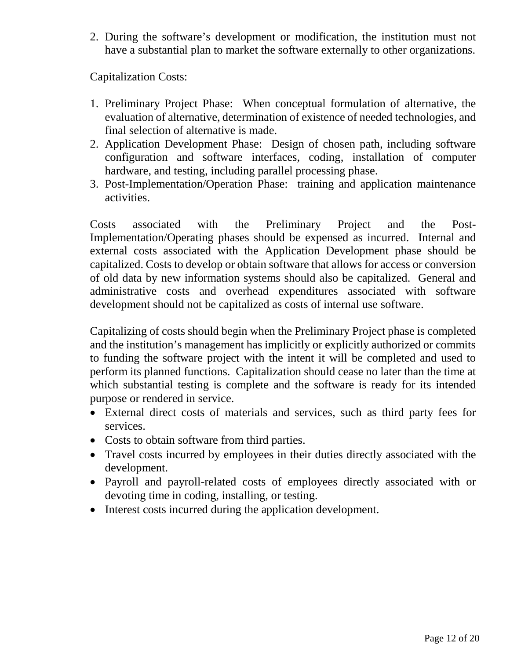2. During the software's development or modification, the institution must not have a substantial plan to market the software externally to other organizations.

Capitalization Costs:

- 1. Preliminary Project Phase: When conceptual formulation of alternative, the evaluation of alternative, determination of existence of needed technologies, and final selection of alternative is made.
- 2. Application Development Phase: Design of chosen path, including software configuration and software interfaces, coding, installation of computer hardware, and testing, including parallel processing phase.
- 3. Post-Implementation/Operation Phase: training and application maintenance activities.

Costs associated with the Preliminary Project and the Post-Implementation/Operating phases should be expensed as incurred. Internal and external costs associated with the Application Development phase should be capitalized. Costs to develop or obtain software that allows for access or conversion of old data by new information systems should also be capitalized. General and administrative costs and overhead expenditures associated with software development should not be capitalized as costs of internal use software.

Capitalizing of costs should begin when the Preliminary Project phase is completed and the institution's management has implicitly or explicitly authorized or commits to funding the software project with the intent it will be completed and used to perform its planned functions. Capitalization should cease no later than the time at which substantial testing is complete and the software is ready for its intended purpose or rendered in service.

- External direct costs of materials and services, such as third party fees for services.
- Costs to obtain software from third parties.
- Travel costs incurred by employees in their duties directly associated with the development.
- Payroll and payroll-related costs of employees directly associated with or devoting time in coding, installing, or testing.
- Interest costs incurred during the application development.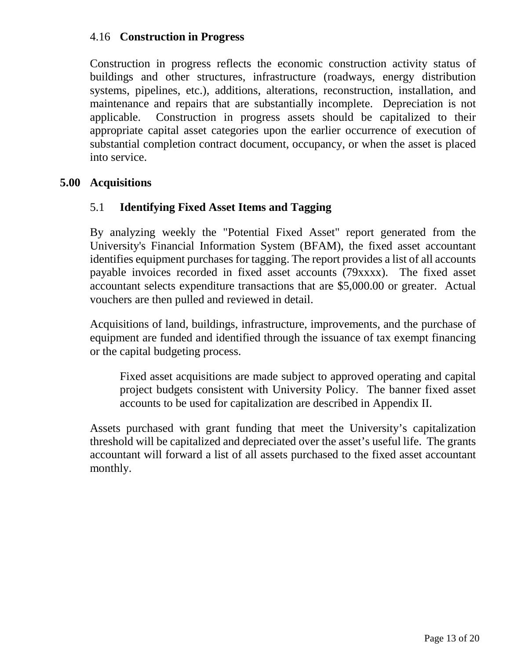#### 4.16 **Construction in Progress**

Construction in progress reflects the economic construction activity status of buildings and other structures, infrastructure (roadways, energy distribution systems, pipelines, etc.), additions, alterations, reconstruction, installation, and maintenance and repairs that are substantially incomplete. Depreciation is not applicable. Construction in progress assets should be capitalized to their appropriate capital asset categories upon the earlier occurrence of execution of substantial completion contract document, occupancy, or when the asset is placed into service.

#### **5.00 Acquisitions**

#### 5.1 **Identifying Fixed Asset Items and Tagging**

By analyzing weekly the "Potential Fixed Asset" report generated from the University's Financial Information System (BFAM), the fixed asset accountant identifies equipment purchases for tagging. The report provides a list of all accounts payable invoices recorded in fixed asset accounts (79xxxx). The fixed asset accountant selects expenditure transactions that are \$5,000.00 or greater. Actual vouchers are then pulled and reviewed in detail.

Acquisitions of land, buildings, infrastructure, improvements, and the purchase of equipment are funded and identified through the issuance of tax exempt financing or the capital budgeting process.

Fixed asset acquisitions are made subject to approved operating and capital project budgets consistent with University Policy. The banner fixed asset accounts to be used for capitalization are described in Appendix II.

Assets purchased with grant funding that meet the University's capitalization threshold will be capitalized and depreciated over the asset's useful life. The grants accountant will forward a list of all assets purchased to the fixed asset accountant monthly.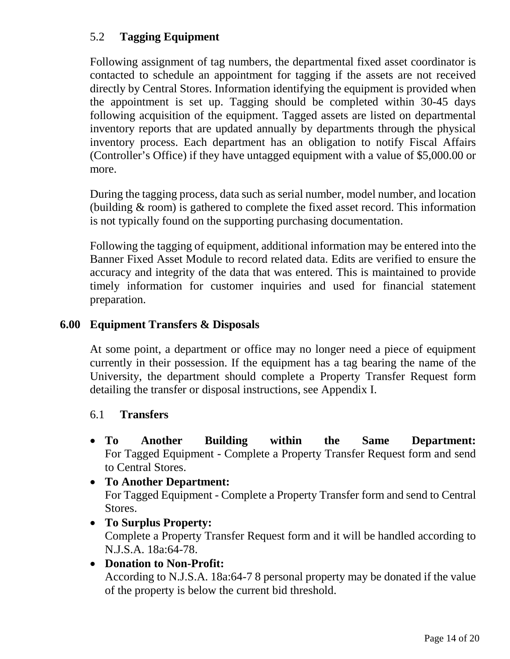# 5.2 **Tagging Equipment**

Following assignment of tag numbers, the departmental fixed asset coordinator is contacted to schedule an appointment for tagging if the assets are not received directly by Central Stores. Information identifying the equipment is provided when the appointment is set up. Tagging should be completed within 30-45 days following acquisition of the equipment. Tagged assets are listed on departmental inventory reports that are updated annually by departments through the physical inventory process. Each department has an obligation to notify Fiscal Affairs (Controller's Office) if they have untagged equipment with a value of \$5,000.00 or more.

During the tagging process, data such as serial number, model number, and location (building & room) is gathered to complete the fixed asset record. This information is not typically found on the supporting purchasing documentation.

Following the tagging of equipment, additional information may be entered into the Banner Fixed Asset Module to record related data. Edits are verified to ensure the accuracy and integrity of the data that was entered. This is maintained to provide timely information for customer inquiries and used for financial statement preparation.

### **6.00 Equipment Transfers & Disposals**

At some point, a department or office may no longer need a piece of equipment currently in their possession. If the equipment has a tag bearing the name of the University, the department should complete a Property Transfer Request form detailing the transfer or disposal instructions, see Appendix I.

#### 6.1 **Transfers**

• **To Another Building within the Same Department:** For Tagged Equipment - Complete a Property Transfer Request form and send to Central Stores.

• **To Another Department:** For Tagged Equipment - Complete a Property Transfer form and send to Central Stores.

• **To Surplus Property:** Complete a Property Transfer Request form and it will be handled according to N.J.S.A. 18a:64-78.

#### • **Donation to Non-Profit:**

According to N.J.S.A. 18a:64-7 8 personal property may be donated if the value of the property is below the current bid threshold.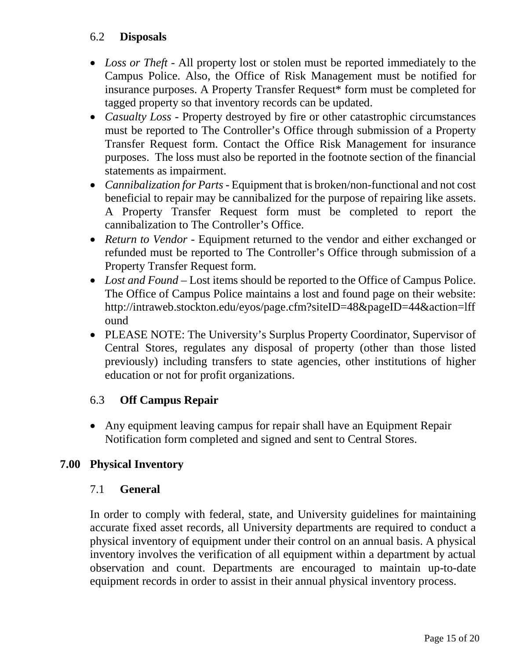# 6.2 **Disposals**

- *Loss or Theft*  All property lost or stolen must be reported immediately to the Campus Police. Also, the Office of Risk Management must be notified for insurance purposes. A Property Transfer Request\* form must be completed for tagged property so that inventory records can be updated.
- *Casualty Loss* Property destroyed by fire or other catastrophic circumstances must be reported to The Controller's Office through submission of a Property Transfer Request form. Contact the Office Risk Management for insurance purposes. The loss must also be reported in the footnote section of the financial statements as impairment.
- *Cannibalization for Parts* Equipment that is broken/non-functional and not cost beneficial to repair may be cannibalized for the purpose of repairing like assets. A Property Transfer Request form must be completed to report the cannibalization to The Controller's Office.
- *Return to Vendor* Equipment returned to the vendor and either exchanged or refunded must be reported to The Controller's Office through submission of a Property Transfer Request form.
- *Lost and Found* Lost items should be reported to the Office of Campus Police. The Office of Campus Police maintains a lost and found page on their website: http://intraweb.stockton.edu/eyos/page.cfm?siteID=48&pageID=44&action=lff ound
- PLEASE NOTE: The University's Surplus Property Coordinator, Supervisor of Central Stores, regulates any disposal of property (other than those listed previously) including transfers to state agencies, other institutions of higher education or not for profit organizations.

# 6.3 **Off Campus Repair**

• Any equipment leaving campus for repair shall have an Equipment Repair Notification form completed and signed and sent to Central Stores.

# **7.00 Physical Inventory**

# 7.1 **General**

In order to comply with federal, state, and University guidelines for maintaining accurate fixed asset records, all University departments are required to conduct a physical inventory of equipment under their control on an annual basis. A physical inventory involves the verification of all equipment within a department by actual observation and count. Departments are encouraged to maintain up-to-date equipment records in order to assist in their annual physical inventory process.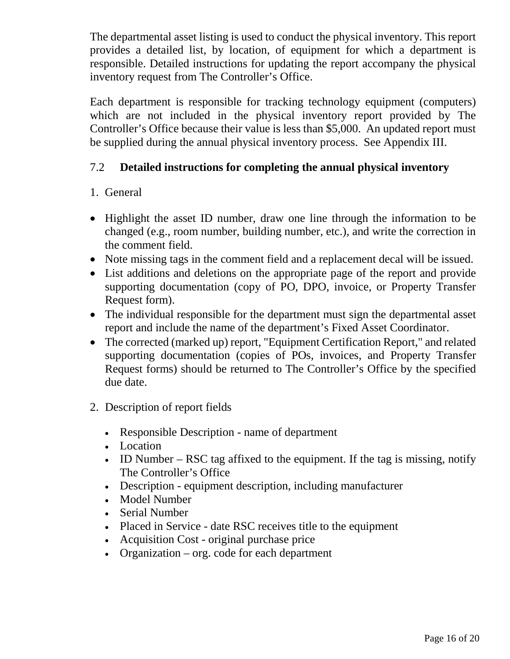The departmental asset listing is used to conduct the physical inventory. This report provides a detailed list, by location, of equipment for which a department is responsible. Detailed instructions for updating the report accompany the physical inventory request from The Controller's Office.

Each department is responsible for tracking technology equipment (computers) which are not included in the physical inventory report provided by The Controller's Office because their value is less than \$5,000. An updated report must be supplied during the annual physical inventory process. See Appendix III.

#### 7.2 **Detailed instructions for completing the annual physical inventory**

#### 1. General

- Highlight the asset ID number, draw one line through the information to be changed (e.g., room number, building number, etc.), and write the correction in the comment field.
- Note missing tags in the comment field and a replacement decal will be issued.
- List additions and deletions on the appropriate page of the report and provide supporting documentation (copy of PO, DPO, invoice, or Property Transfer Request form).
- The individual responsible for the department must sign the departmental asset report and include the name of the department's Fixed Asset Coordinator.
- The corrected (marked up) report, "Equipment Certification Report," and related supporting documentation (copies of POs, invoices, and Property Transfer Request forms) should be returned to The Controller's Office by the specified due date.
- 2. Description of report fields
	- Responsible Description name of department
	- Location
	- ID Number RSC tag affixed to the equipment. If the tag is missing, notify The Controller's Office
	- Description equipment description, including manufacturer
	- Model Number
	- Serial Number
	- Placed in Service date RSC receives title to the equipment
	- Acquisition Cost original purchase price
	- Organization org. code for each department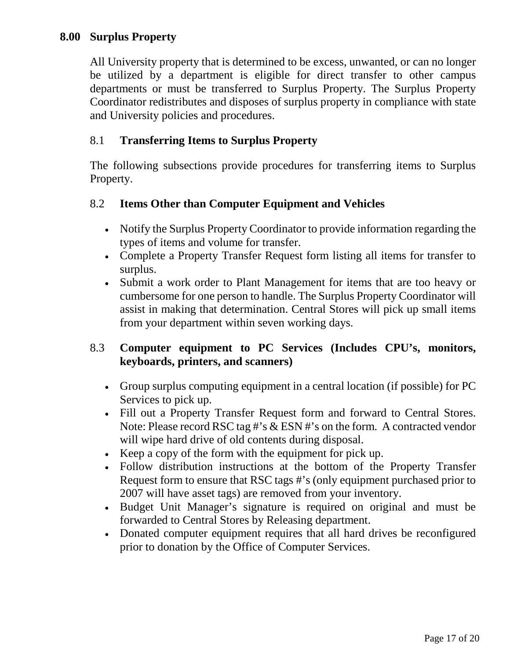All University property that is determined to be excess, unwanted, or can no longer be utilized by a department is eligible for direct transfer to other campus departments or must be transferred to Surplus Property. The Surplus Property Coordinator redistributes and disposes of surplus property in compliance with state and University policies and procedures.

# 8.1 **Transferring Items to Surplus Property**

The following subsections provide procedures for transferring items to Surplus Property.

# 8.2 **Items Other than Computer Equipment and Vehicles**

- Notify the Surplus Property Coordinator to provide information regarding the types of items and volume for transfer.
- Complete a Property Transfer Request form listing all items for transfer to surplus.
- Submit a work order to Plant Management for items that are too heavy or cumbersome for one person to handle. The Surplus Property Coordinator will assist in making that determination. Central Stores will pick up small items from your department within seven working days.

# 8.3 **Computer equipment to PC Services (Includes CPU's, monitors, keyboards, printers, and scanners)**

- Group surplus computing equipment in a central location (if possible) for PC Services to pick up.
- Fill out a Property Transfer Request form and forward to Central Stores. Note: Please record RSC tag #'s & ESN #'s on the form. A contracted vendor will wipe hard drive of old contents during disposal.
- Keep a copy of the form with the equipment for pick up.
- Follow distribution instructions at the bottom of the Property Transfer Request form to ensure that RSC tags #'s (only equipment purchased prior to 2007 will have asset tags) are removed from your inventory.
- Budget Unit Manager's signature is required on original and must be forwarded to Central Stores by Releasing department.
- Donated computer equipment requires that all hard drives be reconfigured prior to donation by the Office of Computer Services.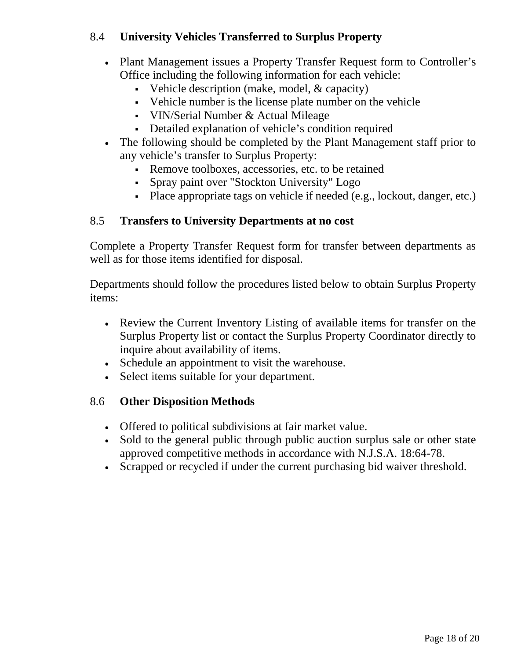# 8.4 **University Vehicles Transferred to Surplus Property**

- Plant Management issues a Property Transfer Request form to Controller's Office including the following information for each vehicle:
	- Vehicle description (make, model, & capacity)
	- Vehicle number is the license plate number on the vehicle
	- VIN/Serial Number & Actual Mileage
	- Detailed explanation of vehicle's condition required
- The following should be completed by the Plant Management staff prior to any vehicle's transfer to Surplus Property:
	- Remove toolboxes, accessories, etc. to be retained
	- Spray paint over "Stockton University" Logo
	- Place appropriate tags on vehicle if needed (e.g., lockout, danger, etc.)

# 8.5 **Transfers to University Departments at no cost**

Complete a Property Transfer Request form for transfer between departments as well as for those items identified for disposal.

Departments should follow the procedures listed below to obtain Surplus Property items:

- Review the Current Inventory Listing of available items for transfer on the Surplus Property list or contact the Surplus Property Coordinator directly to inquire about availability of items.
- Schedule an appointment to visit the warehouse.
- Select items suitable for your department.

# 8.6 **Other Disposition Methods**

- Offered to political subdivisions at fair market value.
- Sold to the general public through public auction surplus sale or other state approved competitive methods in accordance with N.J.S.A. 18:64-78.
- Scrapped or recycled if under the current purchasing bid waiver threshold.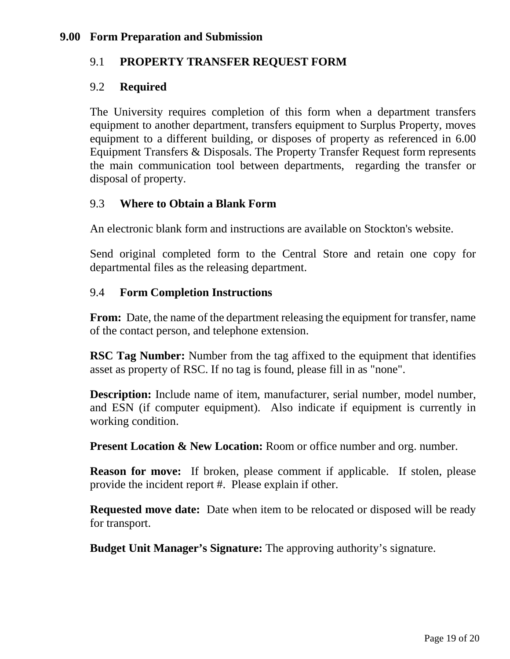#### 9.1 **PROPERTY TRANSFER REQUEST FORM**

#### 9.2 **Required**

The University requires completion of this form when a department transfers equipment to another department, transfers equipment to Surplus Property, moves equipment to a different building, or disposes of property as referenced in 6.00 Equipment Transfers & Disposals. The Property Transfer Request form represents the main communication tool between departments, regarding the transfer or disposal of property.

#### 9.3 **Where to Obtain a Blank Form**

An electronic blank form and instructions are available on Stockton's website.

Send original completed form to the Central Store and retain one copy for departmental files as the releasing department.

#### 9.4 **Form Completion Instructions**

**From:** Date, the name of the department releasing the equipment for transfer, name of the contact person, and telephone extension.

**RSC Tag Number:** Number from the tag affixed to the equipment that identifies asset as property of RSC. If no tag is found, please fill in as "none".

**Description:** Include name of item, manufacturer, serial number, model number, and ESN (if computer equipment). Also indicate if equipment is currently in working condition.

Present Location & New Location: Room or office number and org. number.

**Reason for move:** If broken, please comment if applicable. If stolen, please provide the incident report #. Please explain if other.

**Requested move date:** Date when item to be relocated or disposed will be ready for transport.

**Budget Unit Manager's Signature:** The approving authority's signature.